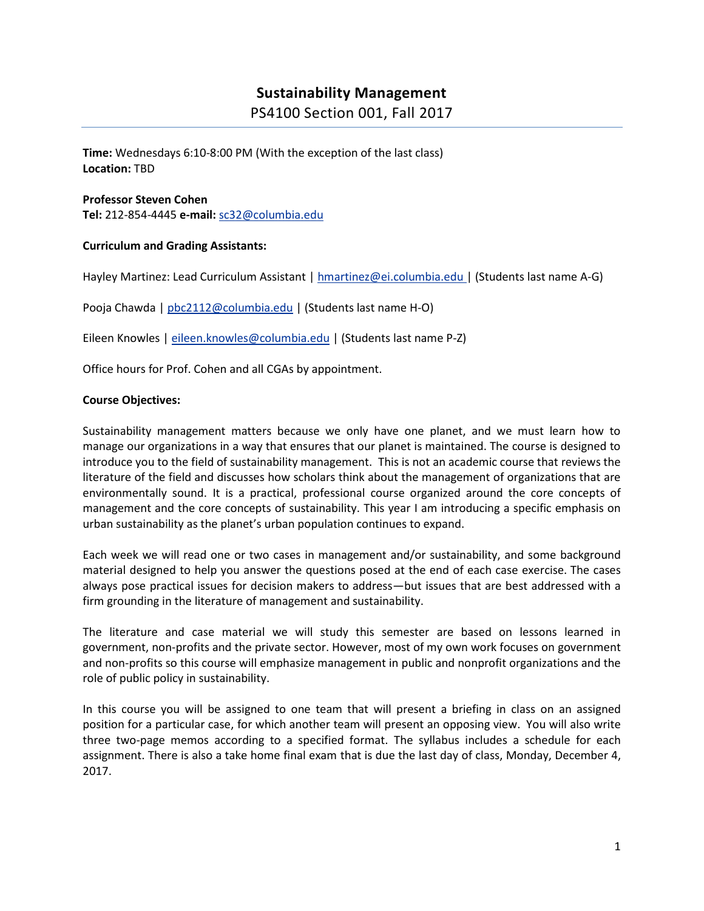## **Sustainability Management**

PS4100 Section 001, Fall 2017

**Time:** Wednesdays 6:10-8:00 PM (With the exception of the last class) **Location:** TBD

#### **Professor Steven Cohen Tel:** 212-854-4445 **e-mail:** [sc32@columbia.edu](mailto:sc32@columbia.edu)

#### **Curriculum and Grading Assistants:**

Hayley Martinez: Lead Curriculum Assistant | [hmartinez@ei.columbia.edu](mailto:hmartinez@ei.columbia.edu) | (Students last name A-G)

Pooja Chawda | [pbc2112@columbia.edu](mailto:pbc2112@columbia.edu) | (Students last name H-O)

Eileen Knowles | [eileen.knowles@columbia.edu](mailto:eileen.knowles@columbia.edu) | (Students last name P-Z)

Office hours for Prof. Cohen and all CGAs by appointment.

#### **Course Objectives:**

Sustainability management matters because we only have one planet, and we must learn how to manage our organizations in a way that ensures that our planet is maintained. The course is designed to introduce you to the field of sustainability management. This is not an academic course that reviews the literature of the field and discusses how scholars think about the management of organizations that are environmentally sound. It is a practical, professional course organized around the core concepts of management and the core concepts of sustainability. This year I am introducing a specific emphasis on urban sustainability as the planet's urban population continues to expand.

Each week we will read one or two cases in management and/or sustainability, and some background material designed to help you answer the questions posed at the end of each case exercise. The cases always pose practical issues for decision makers to address—but issues that are best addressed with a firm grounding in the literature of management and sustainability.

The literature and case material we will study this semester are based on lessons learned in government, non-profits and the private sector. However, most of my own work focuses on government and non-profits so this course will emphasize management in public and nonprofit organizations and the role of public policy in sustainability.

In this course you will be assigned to one team that will present a briefing in class on an assigned position for a particular case, for which another team will present an opposing view. You will also write three two-page memos according to a specified format. The syllabus includes a schedule for each assignment. There is also a take home final exam that is due the last day of class, Monday, December 4, 2017.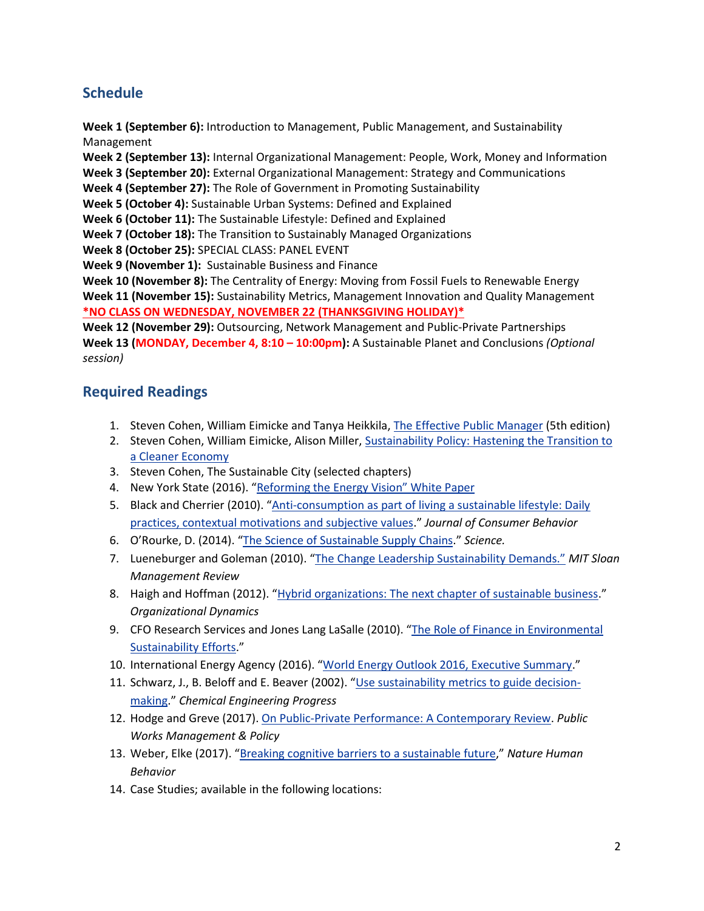# **Schedule**

**Week 1 (September 6):** Introduction to Management, Public Management, and Sustainability Management

**Week 2 (September 13):** Internal Organizational Management: People, Work, Money and Information

**Week 3 (September 20):** External Organizational Management: Strategy and Communications

**Week 4 (September 27):** The Role of Government in Promoting Sustainability

**Week 5 (October 4):** Sustainable Urban Systems: Defined and Explained

**Week 6 (October 11):** The Sustainable Lifestyle: Defined and Explained

**Week 7 (October 18):** The Transition to Sustainably Managed Organizations

**Week 8 (October 25):** SPECIAL CLASS: PANEL EVENT

**Week 9 (November 1):** Sustainable Business and Finance

**Week 10 (November 8):** The Centrality of Energy: Moving from Fossil Fuels to Renewable Energy **Week 11 (November 15):** Sustainability Metrics, Management Innovation and Quality Management **\*NO CLASS ON WEDNESDAY, NOVEMBER 22 (THANKSGIVING HOLIDAY)\***

**Week 12 (November 29):** Outsourcing, Network Management and Public-Private Partnerships **Week 13 (MONDAY, December 4, 8:10 – 10:00pm):** A Sustainable Planet and Conclusions *(Optional session)*

## **Required Readings**

- 1. Steven Cohen, William Eimicke and Tanya Heikkila, [The Effective Public Manager](http://www.amazon.com/The-Effective-Public-Manager-Organizations/dp/1118555937) (5th edition)
- 2. Steven Cohen, William Eimicke, Alison Miller, Sustainability Policy: Hastening the Transition to [a Cleaner Economy](http://www.amazon.com/Sustainability-Policy-Hastening-Transition-Cleaner/dp/1118916379/ref=sr_1_1?s=books&ie=UTF8&qid=1439905835&sr=1-1&keywords=sustainability+policy)
- 3. Steven Cohen, The Sustainable City (selected chapters)
- 4. New York State (2016). ["Reforming the Energy Vision" White Paper](https://www.ny.gov/sites/ny.gov/files/atoms/files/WhitePaperREVMarch2016.pdf)
- 5. Black and Cherrier (2010). "[Anti-consumption as part of living a sustainable lifestyle: Daily](http://onlinelibrary.wiley.com/doi/10.1002/cb.337/epdf)  [practices, contextual motivations and subjective values](http://onlinelibrary.wiley.com/doi/10.1002/cb.337/epdf)." *Journal of Consumer Behavior*
- 6. O'Rourke, D. (2014). "[The Science of Sustainable Supply Chains](http://www.sciencemag.org/content/344/6188/1124.full.pdf?sid=0960aab4-9569-4b0c-baf0-1603d9642c0e)." *Science.*
- 7. Lueneburger and Goleman (2010). ["The Change Leadership Sustainability Demands."](http://sloanreview.mit.edu/article/the-change-leadership-sustainability-demands/) *MIT Sloan Management Review*
- 8. Haigh and Hoffman (2012). "[Hybrid organizations: The next chapter of sustainable business](http://academiab.org/wp-content/uploads/2015/01/Hybrid-organizations_Organizational-Dynamics.pdf)." *Organizational Dynamics*
- 9. CFO Research Services and Jones Lang LaSalle (2010). "[The Role of Finance in Environmental](http://www.greenprof.org/wp-content/uploads/2010/04/Role-of-Finance-in-Environmental-Sustainability.pdf)  [Sustainability Efforts](http://www.greenprof.org/wp-content/uploads/2010/04/Role-of-Finance-in-Environmental-Sustainability.pdf)."
- 10. International Energy Agency (2016). "[World Energy Outlook 2016, Executive Summary](https://www.iea.org/publications/freepublications/publication/WorldEnergyOutlook2016ExecutiveSummaryEnglish.pdf)."
- 11. Schwarz, J., B. Beloff and E. Beaver (2002). "[Use sustainability metrics to guide decision](http://people.clarkson.edu/~wwilcox/Design/sustain.pdf)[making](http://people.clarkson.edu/~wwilcox/Design/sustain.pdf)." *Chemical Engineering Progress*
- 12. Hodge and Greve (2017). On [Public-Private Performance: A Contemporary Review.](http://journals.sagepub.com/doi/pdf/10.1177/1087724X16657830) *Public Works Management & Policy*
- 13. Weber, Elke (2017). "[Breaking cognitive barriers to a sustainable future](http://wws.princeton.edu/system/files/research/documents/Breaking%20Cognitive%20Barriers,%20Nature%20Human%20Behavior.pdf)," *Nature Human Behavior*
- 14. Case Studies; available in the following locations: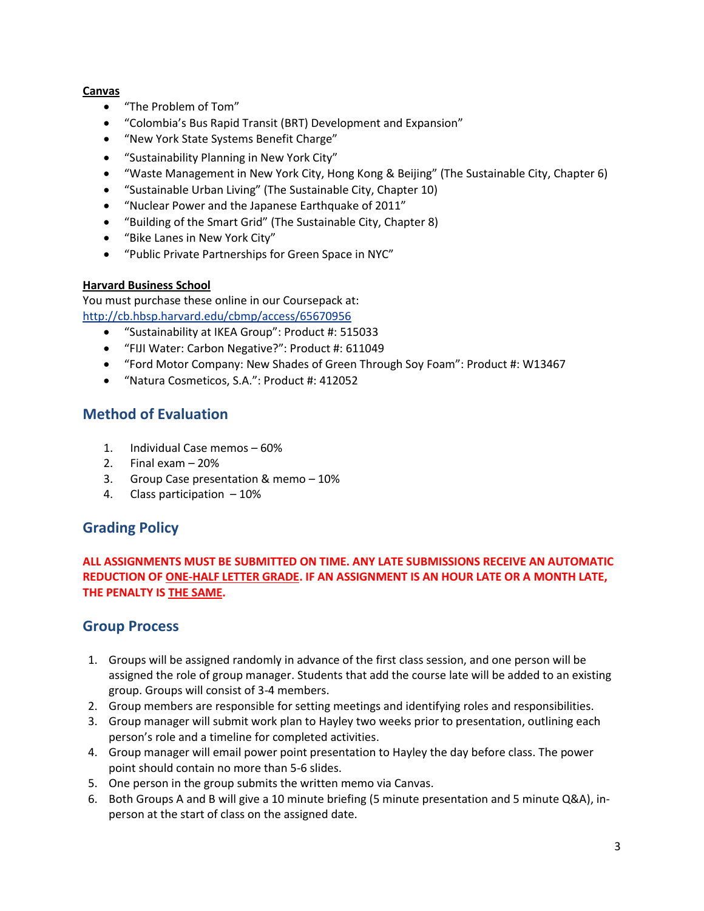#### **Canvas**

- "The Problem of Tom"
- "Colombia's Bus Rapid Transit (BRT) Development and Expansion"
- "New York State Systems Benefit Charge"
- "Sustainability Planning in New York City"
- "Waste Management in New York City, Hong Kong & Beijing" (The Sustainable City, Chapter 6)
- "Sustainable Urban Living" (The Sustainable City, Chapter 10)
- "Nuclear Power and the Japanese Earthquake of 2011"
- "Building of the Smart Grid" (The Sustainable City, Chapter 8)
- "Bike Lanes in New York City"
- "Public Private Partnerships for Green Space in NYC"

#### **Harvard Business School**

You must purchase these online in our Coursepack at: <http://cb.hbsp.harvard.edu/cbmp/access/65670956>

- "Sustainability at IKEA Group": Product #: 515033
- "FIJI Water: Carbon Negative?": Product #: 611049
- "Ford Motor Company: New Shades of Green Through Soy Foam": Product #: W13467
- "Natura Cosmeticos, S.A.": Product #: 412052

## **Method of Evaluation**

- 1. Individual Case memos 60%
- 2. Final exam 20%
- 3. Group Case presentation & memo 10%
- 4. Class participation 10%

## **Grading Policy**

#### **ALL ASSIGNMENTS MUST BE SUBMITTED ON TIME. ANY LATE SUBMISSIONS RECEIVE AN AUTOMATIC REDUCTION OF ONE-HALF LETTER GRADE. IF AN ASSIGNMENT IS AN HOUR LATE OR A MONTH LATE, THE PENALTY IS THE SAME.**

## **Group Process**

- 1. Groups will be assigned randomly in advance of the first class session, and one person will be assigned the role of group manager. Students that add the course late will be added to an existing group. Groups will consist of 3-4 members.
- 2. Group members are responsible for setting meetings and identifying roles and responsibilities.
- 3. Group manager will submit work plan to Hayley two weeks prior to presentation, outlining each person's role and a timeline for completed activities.
- 4. Group manager will email power point presentation to Hayley the day before class. The power point should contain no more than 5-6 slides.
- 5. One person in the group submits the written memo via Canvas.
- 6. Both Groups A and B will give a 10 minute briefing (5 minute presentation and 5 minute Q&A), inperson at the start of class on the assigned date.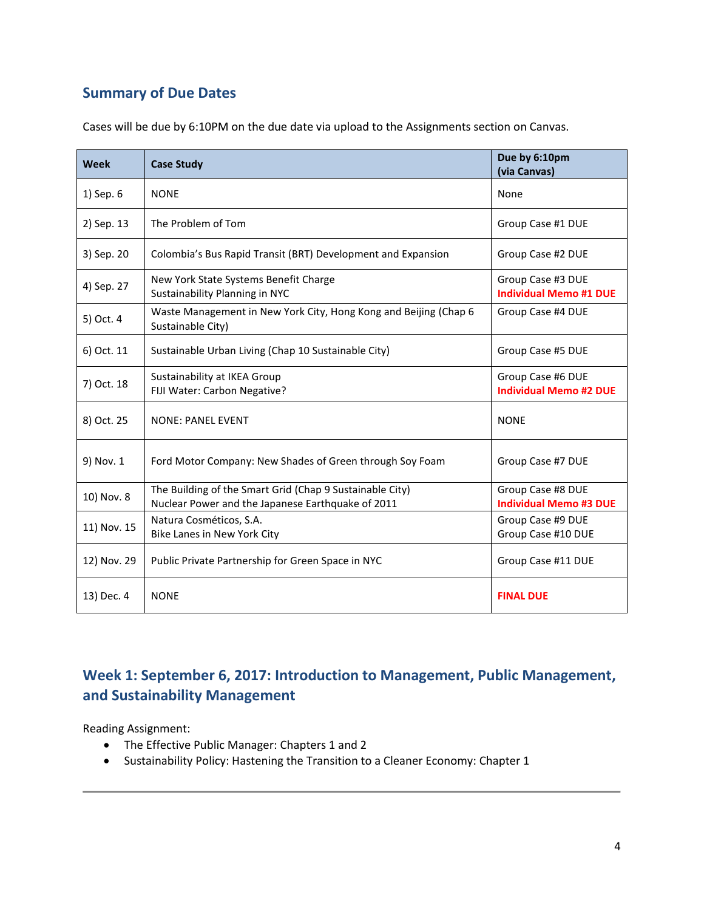## **Summary of Due Dates**

| <b>Week</b> | <b>Case Study</b>                                                                                             | Due by 6:10pm<br>(via Canvas)                      |
|-------------|---------------------------------------------------------------------------------------------------------------|----------------------------------------------------|
| 1) Sep. 6   | <b>NONE</b>                                                                                                   | None                                               |
| 2) Sep. 13  | The Problem of Tom                                                                                            | Group Case #1 DUE                                  |
| 3) Sep. 20  | Colombia's Bus Rapid Transit (BRT) Development and Expansion                                                  | Group Case #2 DUE                                  |
| 4) Sep. 27  | New York State Systems Benefit Charge<br>Sustainability Planning in NYC                                       | Group Case #3 DUE<br><b>Individual Memo #1 DUE</b> |
| 5) Oct. 4   | Waste Management in New York City, Hong Kong and Beijing (Chap 6<br>Sustainable City)                         | Group Case #4 DUE                                  |
| 6) Oct. 11  | Sustainable Urban Living (Chap 10 Sustainable City)                                                           | Group Case #5 DUE                                  |
| 7) Oct. 18  | Sustainability at IKEA Group<br>FIJI Water: Carbon Negative?                                                  | Group Case #6 DUE<br><b>Individual Memo #2 DUE</b> |
| 8) Oct. 25  | <b>NONE: PANEL EVENT</b>                                                                                      | <b>NONE</b>                                        |
| 9) Nov. 1   | Ford Motor Company: New Shades of Green through Soy Foam                                                      | Group Case #7 DUE                                  |
| 10) Nov. 8  | The Building of the Smart Grid (Chap 9 Sustainable City)<br>Nuclear Power and the Japanese Earthquake of 2011 | Group Case #8 DUE<br><b>Individual Memo #3 DUE</b> |
| 11) Nov. 15 | Natura Cosméticos, S.A.<br>Bike Lanes in New York City                                                        | Group Case #9 DUE<br>Group Case #10 DUE            |
| 12) Nov. 29 | Public Private Partnership for Green Space in NYC                                                             | Group Case #11 DUE                                 |
| 13) Dec. 4  | <b>NONE</b>                                                                                                   | <b>FINAL DUE</b>                                   |

Cases will be due by 6:10PM on the due date via upload to the Assignments section on Canvas.

# **Week 1: September 6, 2017: Introduction to Management, Public Management, and Sustainability Management**

Reading Assignment:

- The Effective Public Manager: Chapters 1 and 2
- Sustainability Policy: Hastening the Transition to a Cleaner Economy: Chapter 1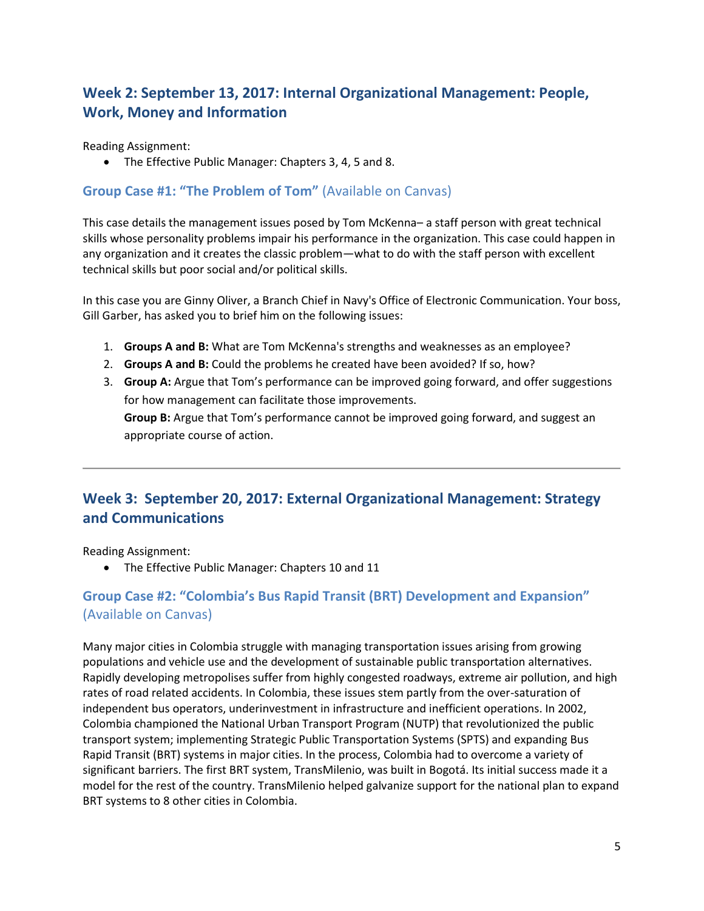# **Week 2: September 13, 2017: Internal Organizational Management: People, Work, Money and Information**

Reading Assignment:

The Effective Public Manager: Chapters 3, 4, 5 and 8.

#### **Group Case #1: "The Problem of Tom"** (Available on Canvas)

This case details the management issues posed by Tom McKenna– a staff person with great technical skills whose personality problems impair his performance in the organization. This case could happen in any organization and it creates the classic problem—what to do with the staff person with excellent technical skills but poor social and/or political skills.

In this case you are Ginny Oliver, a Branch Chief in Navy's Office of Electronic Communication. Your boss, Gill Garber, has asked you to brief him on the following issues:

- 1. **Groups A and B:** What are Tom McKenna's strengths and weaknesses as an employee?
- 2. **Groups A and B:** Could the problems he created have been avoided? If so, how?
- 3. **Group A:** Argue that Tom's performance can be improved going forward, and offer suggestions for how management can facilitate those improvements. **Group B:** Argue that Tom's performance cannot be improved going forward, and suggest an appropriate course of action.

## **Week 3: September 20, 2017: External Organizational Management: Strategy and Communications**

Reading Assignment:

• The Effective Public Manager: Chapters 10 and 11

## **Group Case #2: "Colombia's Bus Rapid Transit (BRT) Development and Expansion"**  (Available on Canvas)

Many major cities in Colombia struggle with managing transportation issues arising from growing populations and vehicle use and the development of sustainable public transportation alternatives. Rapidly developing metropolises suffer from highly congested roadways, extreme air pollution, and high rates of road related accidents. In Colombia, these issues stem partly from the over-saturation of independent bus operators, underinvestment in infrastructure and inefficient operations. In 2002, Colombia championed the National Urban Transport Program (NUTP) that revolutionized the public transport system; implementing Strategic Public Transportation Systems (SPTS) and expanding Bus Rapid Transit (BRT) systems in major cities. In the process, Colombia had to overcome a variety of significant barriers. The first BRT system, TransMilenio, was built in Bogotá. Its initial success made it a model for the rest of the country. TransMilenio helped galvanize support for the national plan to expand BRT systems to 8 other cities in Colombia.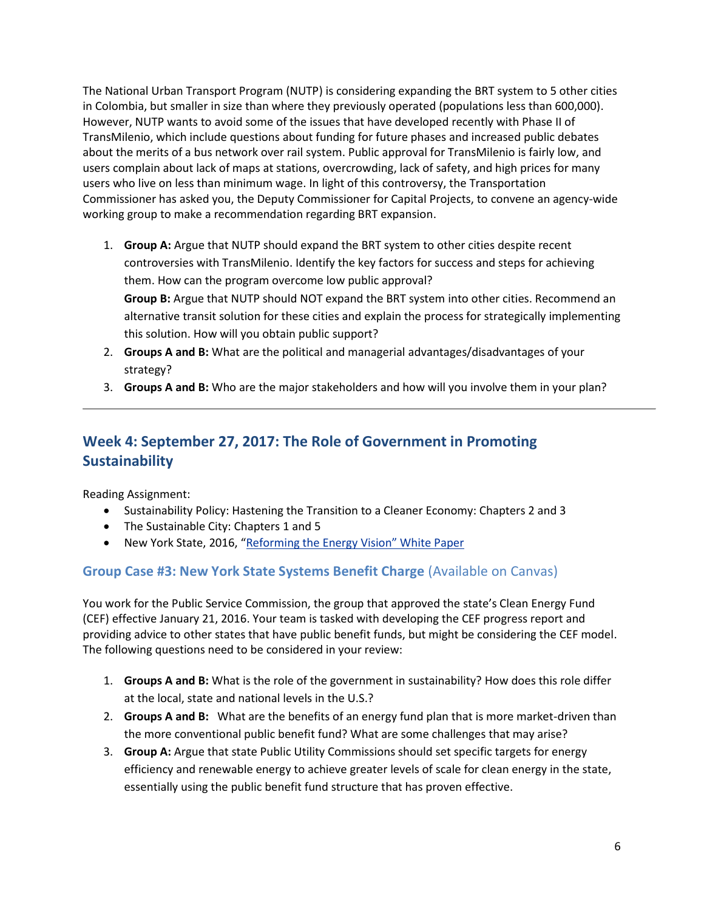The National Urban Transport Program (NUTP) is considering expanding the BRT system to 5 other cities in Colombia, but smaller in size than where they previously operated (populations less than 600,000). However, NUTP wants to avoid some of the issues that have developed recently with Phase II of TransMilenio, which include questions about funding for future phases and increased public debates about the merits of a bus network over rail system. Public approval for TransMilenio is fairly low, and users complain about lack of maps at stations, overcrowding, lack of safety, and high prices for many users who live on less than minimum wage. In light of this controversy, the Transportation Commissioner has asked you, the Deputy Commissioner for Capital Projects, to convene an agency-wide working group to make a recommendation regarding BRT expansion.

- 1. **Group A:** Argue that NUTP should expand the BRT system to other cities despite recent controversies with TransMilenio. Identify the key factors for success and steps for achieving them. How can the program overcome low public approval? **Group B:** Argue that NUTP should NOT expand the BRT system into other cities. Recommend an alternative transit solution for these cities and explain the process for strategically implementing this solution. How will you obtain public support?
- 2. **Groups A and B:** What are the political and managerial advantages/disadvantages of your strategy?
- 3. **Groups A and B:** Who are the major stakeholders and how will you involve them in your plan?

## **Week 4: September 27, 2017: The Role of Government in Promoting Sustainability**

Reading Assignment:

- Sustainability Policy: Hastening the Transition to a Cleaner Economy: Chapters 2 and 3
- The Sustainable City: Chapters 1 and 5
- New York State, 2016, ["Reforming the Energy Vision" White Paper](https://www.ny.gov/sites/ny.gov/files/atoms/files/WhitePaperREVMarch2016.pdf)

### **Group Case #3: New York State Systems Benefit Charge** (Available on Canvas)

You work for the Public Service Commission, the group that approved the state's Clean Energy Fund (CEF) effective January 21, 2016. Your team is tasked with developing the CEF progress report and providing advice to other states that have public benefit funds, but might be considering the CEF model. The following questions need to be considered in your review:

- 1. **Groups A and B:** What is the role of the government in sustainability? How does this role differ at the local, state and national levels in the U.S.?
- 2. **Groups A and B:** What are the benefits of an energy fund plan that is more market-driven than the more conventional public benefit fund? What are some challenges that may arise?
- 3. **Group A:** Argue that state Public Utility Commissions should set specific targets for energy efficiency and renewable energy to achieve greater levels of scale for clean energy in the state, essentially using the public benefit fund structure that has proven effective.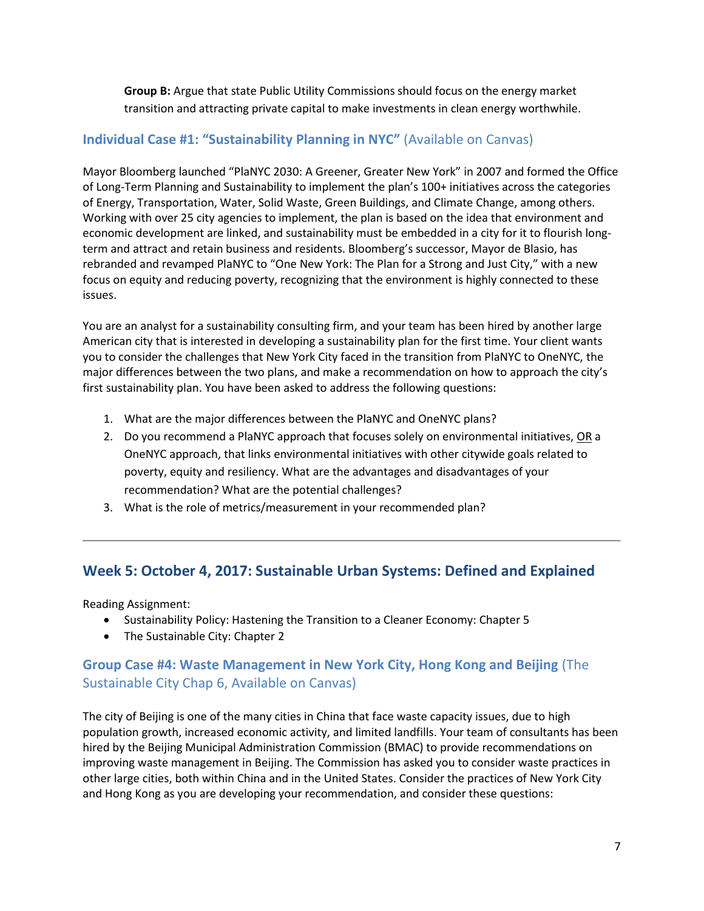**Group B:** Argue that state Public Utility Commissions should focus on the energy market transition and attracting private capital to make investments in clean energy worthwhile.

### **Individual Case #1: "Sustainability Planning in NYC"** (Available on Canvas)

Mayor Bloomberg launched "PlaNYC 2030: A Greener, Greater New York" in 2007 and formed the Office of Long-Term Planning and Sustainability to implement the plan's 100+ initiatives across the categories of Energy, Transportation, Water, Solid Waste, Green Buildings, and Climate Change, among others. Working with over 25 city agencies to implement, the plan is based on the idea that environment and economic development are linked, and sustainability must be embedded in a city for it to flourish longterm and attract and retain business and residents. Bloomberg's successor, Mayor de Blasio, has rebranded and revamped PlaNYC to "One New York: The Plan for a Strong and Just City," with a new focus on equity and reducing poverty, recognizing that the environment is highly connected to these issues.

You are an analyst for a sustainability consulting firm, and your team has been hired by another large American city that is interested in developing a sustainability plan for the first time. Your client wants you to consider the challenges that New York City faced in the transition from PlaNYC to OneNYC, the major differences between the two plans, and make a recommendation on how to approach the city's first sustainability plan. You have been asked to address the following questions:

- 1. What are the major differences between the PlaNYC and OneNYC plans?
- 2. Do you recommend a PlaNYC approach that focuses solely on environmental initiatives, OR a OneNYC approach, that links environmental initiatives with other citywide goals related to poverty, equity and resiliency. What are the advantages and disadvantages of your recommendation? What are the potential challenges?
- 3. What is the role of metrics/measurement in your recommended plan?

### **Week 5: October 4, 2017: Sustainable Urban Systems: Defined and Explained**

Reading Assignment:

- Sustainability Policy: Hastening the Transition to a Cleaner Economy: Chapter 5
- The Sustainable City: Chapter 2

### **Group Case #4: Waste Management in New York City, Hong Kong and Beijing** (The Sustainable City Chap 6, Available on Canvas)

The city of Beijing is one of the many cities in China that face waste capacity issues, due to high population growth, increased economic activity, and limited landfills. Your team of consultants has been hired by the Beijing Municipal Administration Commission (BMAC) to provide recommendations on improving waste management in Beijing. The Commission has asked you to consider waste practices in other large cities, both within China and in the United States. Consider the practices of New York City and Hong Kong as you are developing your recommendation, and consider these questions: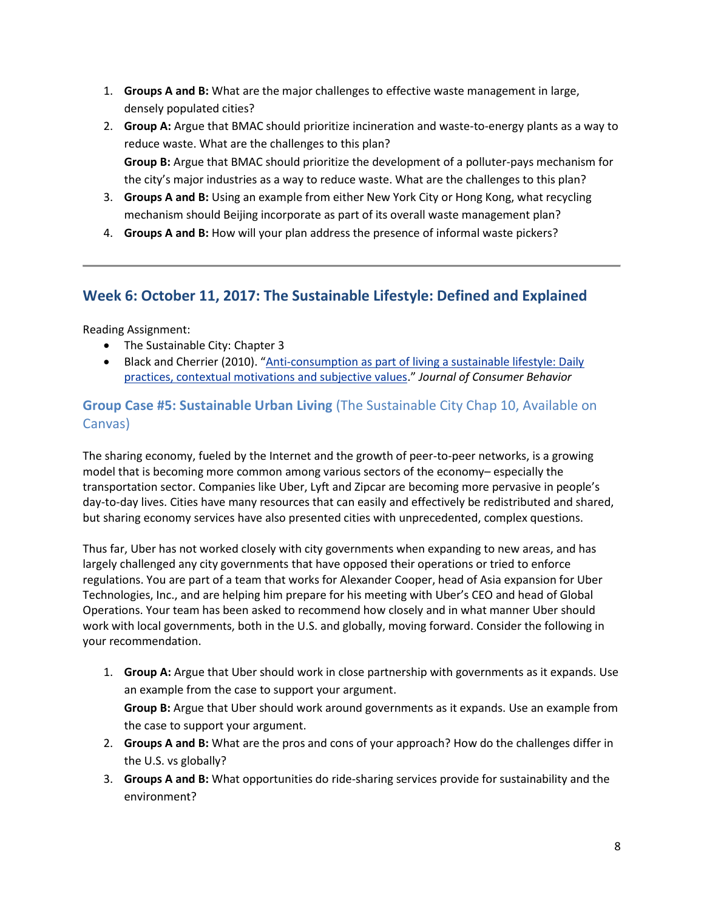- 1. **Groups A and B:** What are the major challenges to effective waste management in large, densely populated cities?
- 2. **Group A:** Argue that BMAC should prioritize incineration and waste-to-energy plants as a way to reduce waste. What are the challenges to this plan? **Group B:** Argue that BMAC should prioritize the development of a polluter-pays mechanism for the city's major industries as a way to reduce waste. What are the challenges to this plan?
- 3. **Groups A and B:** Using an example from either New York City or Hong Kong, what recycling mechanism should Beijing incorporate as part of its overall waste management plan?
- 4. **Groups A and B:** How will your plan address the presence of informal waste pickers?

## **Week 6: October 11, 2017: The Sustainable Lifestyle: Defined and Explained**

Reading Assignment:

- The Sustainable City: Chapter 3
- Black and Cherrier (2010). "[Anti-consumption as part of living a sustainable lifestyle: Daily](http://onlinelibrary.wiley.com/doi/10.1002/cb.337/epdf)  [practices, contextual motivations and subjective values](http://onlinelibrary.wiley.com/doi/10.1002/cb.337/epdf)." *Journal of Consumer Behavior*

## **Group Case #5: Sustainable Urban Living** (The Sustainable City Chap 10, Available on Canvas)

The sharing economy, fueled by the Internet and the growth of peer-to-peer networks, is a growing model that is becoming more common among various sectors of the economy– especially the transportation sector. Companies like Uber, Lyft and Zipcar are becoming more pervasive in people's day-to-day lives. Cities have many resources that can easily and effectively be redistributed and shared, but sharing economy services have also presented cities with unprecedented, complex questions.

Thus far, Uber has not worked closely with city governments when expanding to new areas, and has largely challenged any city governments that have opposed their operations or tried to enforce regulations. You are part of a team that works for Alexander Cooper, head of Asia expansion for Uber Technologies, Inc., and are helping him prepare for his meeting with Uber's CEO and head of Global Operations. Your team has been asked to recommend how closely and in what manner Uber should work with local governments, both in the U.S. and globally, moving forward. Consider the following in your recommendation.

- 1. **Group A:** Argue that Uber should work in close partnership with governments as it expands. Use an example from the case to support your argument. **Group B:** Argue that Uber should work around governments as it expands. Use an example from the case to support your argument.
- 2. **Groups A and B:** What are the pros and cons of your approach? How do the challenges differ in the U.S. vs globally?
- 3. **Groups A and B:** What opportunities do ride-sharing services provide for sustainability and the environment?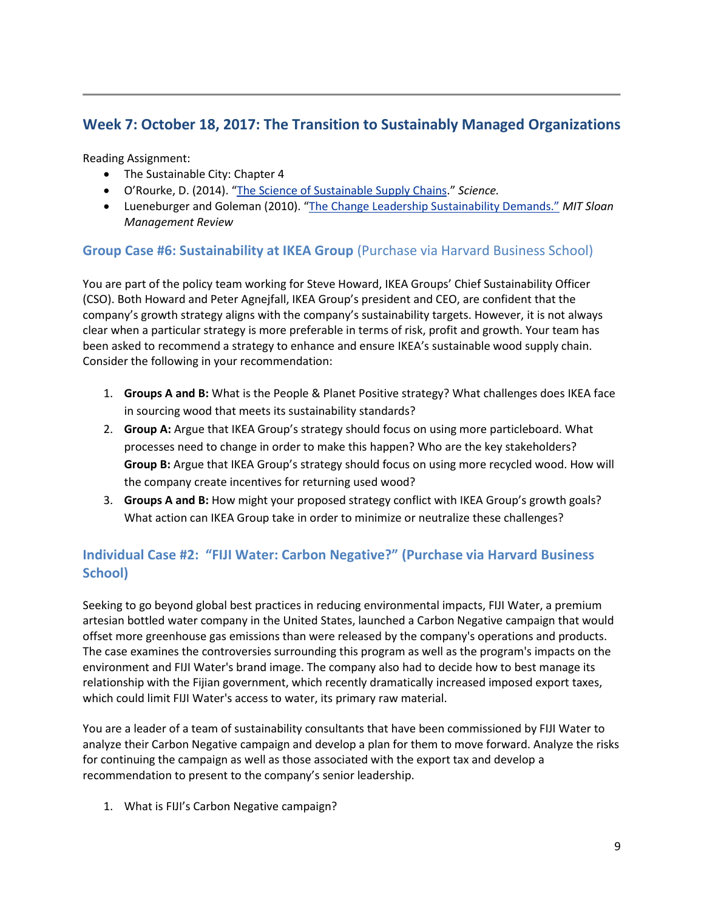## **Week 7: October 18, 2017: The Transition to Sustainably Managed Organizations**

Reading Assignment:

- The Sustainable City: Chapter 4
- O'Rourke, D. (2014). "[The Science of Sustainable Supply Chains](http://www.sciencemag.org/content/344/6188/1124.full.pdf?sid=0960aab4-9569-4b0c-baf0-1603d9642c0e)." *Science.*
- Lueneburger and Goleman (2010). ["The Change Leadership Sustainability Demands."](http://sloanreview.mit.edu/article/the-change-leadership-sustainability-demands/) *MIT Sloan Management Review*

### **Group Case #6: Sustainability at IKEA Group** (Purchase via Harvard Business School)

You are part of the policy team working for Steve Howard, IKEA Groups' Chief Sustainability Officer (CSO). Both Howard and Peter Agnejfall, IKEA Group's president and CEO, are confident that the company's growth strategy aligns with the company's sustainability targets. However, it is not always clear when a particular strategy is more preferable in terms of risk, profit and growth. Your team has been asked to recommend a strategy to enhance and ensure IKEA's sustainable wood supply chain. Consider the following in your recommendation:

- 1. **Groups A and B:** What is the People & Planet Positive strategy? What challenges does IKEA face in sourcing wood that meets its sustainability standards?
- 2. **Group A:** Argue that IKEA Group's strategy should focus on using more particleboard. What processes need to change in order to make this happen? Who are the key stakeholders? **Group B:** Argue that IKEA Group's strategy should focus on using more recycled wood. How will the company create incentives for returning used wood?
- 3. **Groups A and B:** How might your proposed strategy conflict with IKEA Group's growth goals? What action can IKEA Group take in order to minimize or neutralize these challenges?

## **Individual Case #2: "FIJI Water: Carbon Negative?" (Purchase via Harvard Business School)**

Seeking to go beyond global best practices in reducing environmental impacts, FIJI Water, a premium artesian bottled water company in the United States, launched a Carbon Negative campaign that would offset more greenhouse gas emissions than were released by the company's operations and products. The case examines the controversies surrounding this program as well as the program's impacts on the environment and FIJI Water's brand image. The company also had to decide how to best manage its relationship with the Fijian government, which recently dramatically increased imposed export taxes, which could limit FIJI Water's access to water, its primary raw material.

You are a leader of a team of sustainability consultants that have been commissioned by FIJI Water to analyze their Carbon Negative campaign and develop a plan for them to move forward. Analyze the risks for continuing the campaign as well as those associated with the export tax and develop a recommendation to present to the company's senior leadership.

1. What is FIJI's Carbon Negative campaign?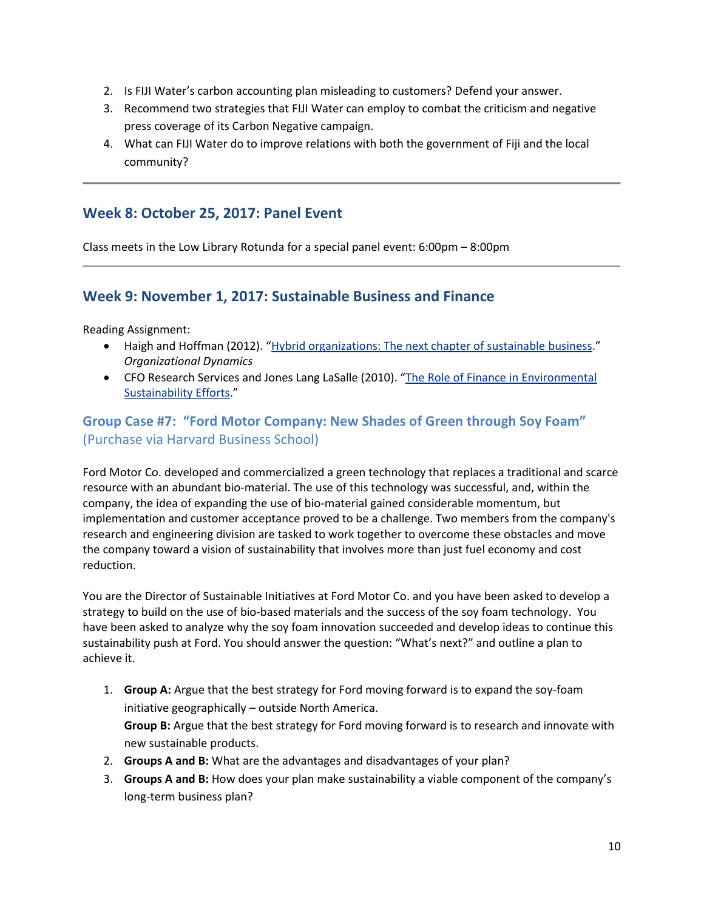- 2. Is FIJI Water's carbon accounting plan misleading to customers? Defend your answer.
- 3. Recommend two strategies that FIJI Water can employ to combat the criticism and negative press coverage of its Carbon Negative campaign.
- 4. What can FIJI Water do to improve relations with both the government of Fiji and the local community?

## **Week 8: October 25, 2017: Panel Event**

Class meets in the Low Library Rotunda for a special panel event: 6:00pm – 8:00pm

## **Week 9: November 1, 2017: Sustainable Business and Finance**

Reading Assignment:

- Haigh and Hoffman (2012). "[Hybrid organizations: The next chapter of sustainable](http://academiab.org/wp-content/uploads/2015/01/Hybrid-organizations_Organizational-Dynamics.pdf) business." *Organizational Dynamics*
- CFO Research Services and Jones Lang LaSalle (2010). "[The Role of Finance in Environmental](http://www.greenprof.org/wp-content/uploads/2010/04/Role-of-Finance-in-Environmental-Sustainability.pdf)  [Sustainability Efforts](http://www.greenprof.org/wp-content/uploads/2010/04/Role-of-Finance-in-Environmental-Sustainability.pdf)."

## **Group Case #7: "Ford Motor Company: New Shades of Green through Soy Foam"**  (Purchase via Harvard Business School)

Ford Motor Co. developed and commercialized a green technology that replaces a traditional and scarce resource with an abundant bio-material. The use of this technology was successful, and, within the company, the idea of expanding the use of bio-material gained considerable momentum, but implementation and customer acceptance proved to be a challenge. Two members from the company's research and engineering division are tasked to work together to overcome these obstacles and move the company toward a vision of sustainability that involves more than just fuel economy and cost reduction.

You are the Director of Sustainable Initiatives at Ford Motor Co. and you have been asked to develop a strategy to build on the use of bio-based materials and the success of the soy foam technology. You have been asked to analyze why the soy foam innovation succeeded and develop ideas to continue this sustainability push at Ford. You should answer the question: "What's next?" and outline a plan to achieve it.

- 1. **Group A:** Argue that the best strategy for Ford moving forward is to expand the soy-foam initiative geographically – outside North America. **Group B:** Argue that the best strategy for Ford moving forward is to research and innovate with new sustainable products.
- 2. **Groups A and B:** What are the advantages and disadvantages of your plan?
- 3. **Groups A and B:** How does your plan make sustainability a viable component of the company's long-term business plan?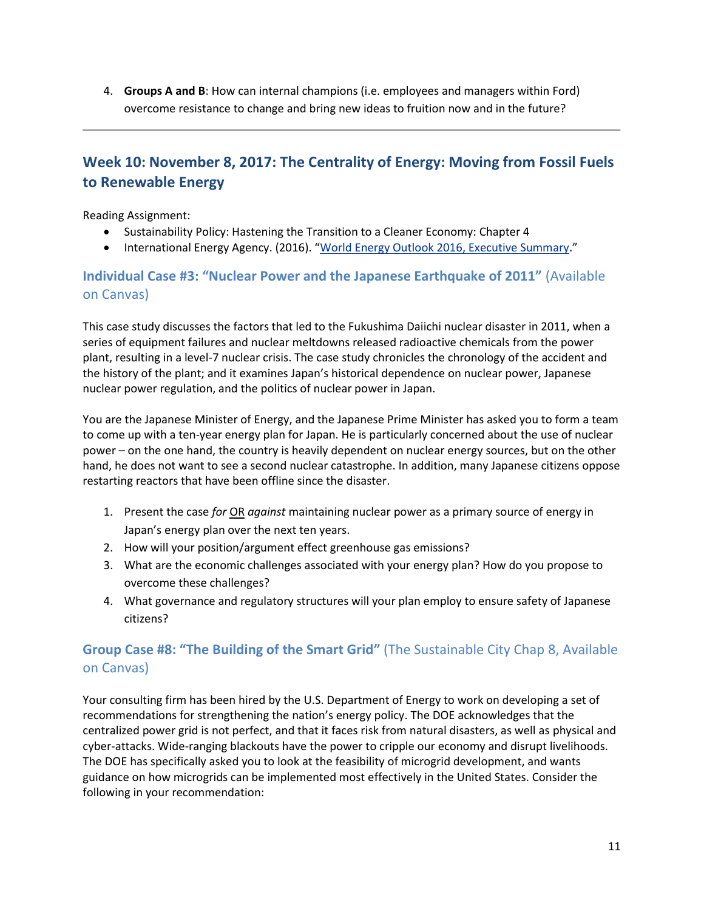4. **Groups A and B**: How can internal champions (i.e. employees and managers within Ford) overcome resistance to change and bring new ideas to fruition now and in the future?

# **Week 10: November 8, 2017: The Centrality of Energy: Moving from Fossil Fuels to Renewable Energy**

Reading Assignment:

- Sustainability Policy: Hastening the Transition to a Cleaner Economy: Chapter 4
- International Energy Agency. (2016). "[World Energy Outlook 2016, Executive Summary](https://www.iea.org/publications/freepublications/publication/WorldEnergyOutlook2016ExecutiveSummaryEnglish.pdf)."

## **Individual Case #3: "Nuclear Power and the Japanese Earthquake of 2011"** (Available on Canvas)

This case study discusses the factors that led to the Fukushima Daiichi nuclear disaster in 2011, when a series of equipment failures and nuclear meltdowns released radioactive chemicals from the power plant, resulting in a level-7 nuclear crisis. The case study chronicles the chronology of the accident and the history of the plant; and it examines Japan's historical dependence on nuclear power, Japanese nuclear power regulation, and the politics of nuclear power in Japan.

You are the Japanese Minister of Energy, and the Japanese Prime Minister has asked you to form a team to come up with a ten-year energy plan for Japan. He is particularly concerned about the use of nuclear power – on the one hand, the country is heavily dependent on nuclear energy sources, but on the other hand, he does not want to see a second nuclear catastrophe. In addition, many Japanese citizens oppose restarting reactors that have been offline since the disaster.

- 1. Present the case *for* OR *against* maintaining nuclear power as a primary source of energy in Japan's energy plan over the next ten years.
- 2. How will your position/argument effect greenhouse gas emissions?
- 3. What are the economic challenges associated with your energy plan? How do you propose to overcome these challenges?
- 4. What governance and regulatory structures will your plan employ to ensure safety of Japanese citizens?

## **Group Case #8: "The Building of the Smart Grid"** (The Sustainable City Chap 8, Available on Canvas)

Your consulting firm has been hired by the U.S. Department of Energy to work on developing a set of recommendations for strengthening the nation's energy policy. The DOE acknowledges that the centralized power grid is not perfect, and that it faces risk from natural disasters, as well as physical and cyber-attacks. Wide-ranging blackouts have the power to cripple our economy and disrupt livelihoods. The DOE has specifically asked you to look at the feasibility of microgrid development, and wants guidance on how microgrids can be implemented most effectively in the United States. Consider the following in your recommendation: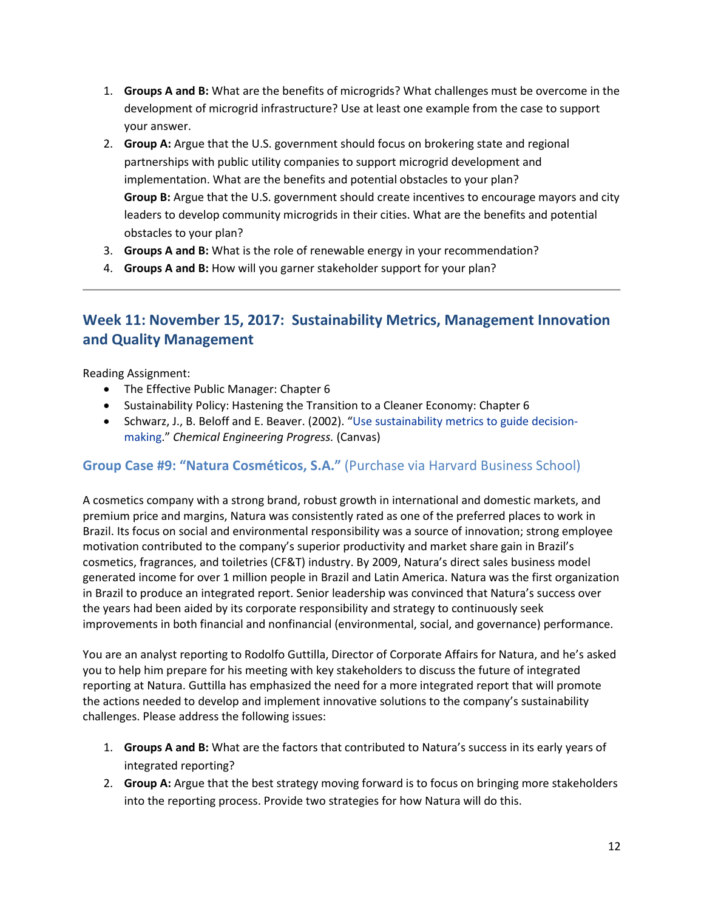- 1. **Groups A and B:** What are the benefits of microgrids? What challenges must be overcome in the development of microgrid infrastructure? Use at least one example from the case to support your answer.
- 2. **Group A:** Argue that the U.S. government should focus on brokering state and regional partnerships with public utility companies to support microgrid development and implementation. What are the benefits and potential obstacles to your plan? **Group B:** Argue that the U.S. government should create incentives to encourage mayors and city leaders to develop community microgrids in their cities. What are the benefits and potential obstacles to your plan?
- 3. **Groups A and B:** What is the role of renewable energy in your recommendation?
- 4. **Groups A and B:** How will you garner stakeholder support for your plan?

# **Week 11: November 15, 2017: Sustainability Metrics, Management Innovation and Quality Management**

Reading Assignment:

- The Effective Public Manager: Chapter 6
- Sustainability Policy: Hastening the Transition to a Cleaner Economy: Chapter 6
- Schwarz, J., B. Beloff and E. Beaver. (2002). "[Use sustainability metrics to guide decision](http://people.clarkson.edu/~wwilcox/Design/sustain.pdf)[making](http://people.clarkson.edu/~wwilcox/Design/sustain.pdf)." *[Chemical Engineering Progress.](http://www.allbusiness.com/chemical-engineering-progress/41643-1.html)* (Canvas)

### **Group Case #9: "Natura Cosméticos, S.A."** (Purchase via Harvard Business School)

A cosmetics company with a strong brand, robust growth in international and domestic markets, and premium price and margins, Natura was consistently rated as one of the preferred places to work in Brazil. Its focus on social and environmental responsibility was a source of innovation; strong employee motivation contributed to the company's superior productivity and market share gain in Brazil's cosmetics, fragrances, and toiletries (CF&T) industry. By 2009, Natura's direct sales business model generated income for over 1 million people in Brazil and Latin America. Natura was the first organization in Brazil to produce an integrated report. Senior leadership was convinced that Natura's success over the years had been aided by its corporate responsibility and strategy to continuously seek improvements in both financial and nonfinancial (environmental, social, and governance) performance.

You are an analyst reporting to Rodolfo Guttilla, Director of Corporate Affairs for Natura, and he's asked you to help him prepare for his meeting with key stakeholders to discuss the future of integrated reporting at Natura. Guttilla has emphasized the need for a more integrated report that will promote the actions needed to develop and implement innovative solutions to the company's sustainability challenges. Please address the following issues:

- 1. **Groups A and B:** What are the factors that contributed to Natura's success in its early years of integrated reporting?
- 2. **Group A:** Argue that the best strategy moving forward is to focus on bringing more stakeholders into the reporting process. Provide two strategies for how Natura will do this.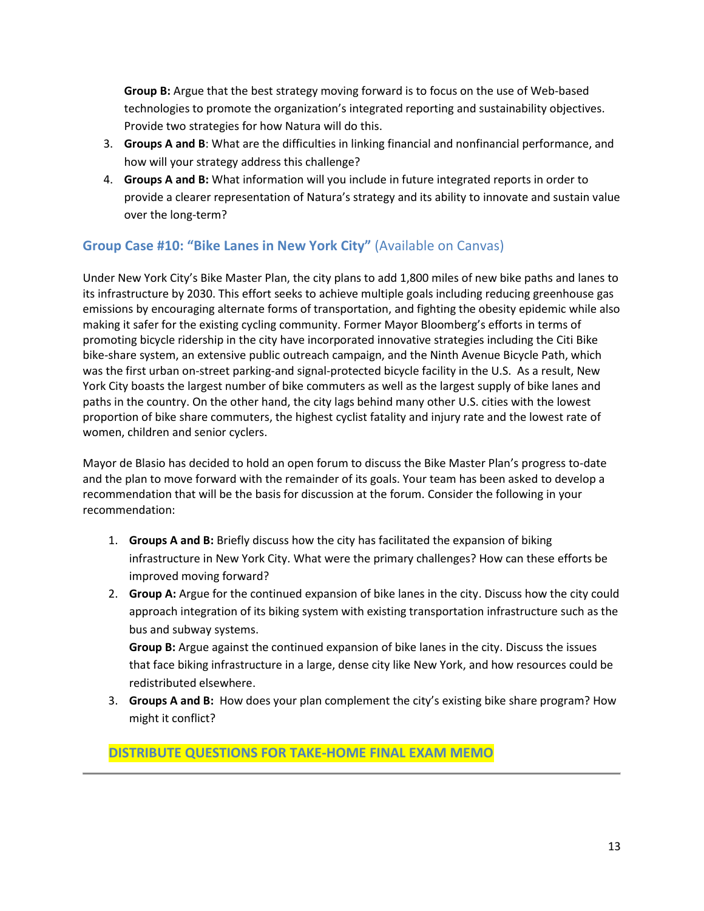**Group B:** Argue that the best strategy moving forward is to focus on the use of Web-based technologies to promote the organization's integrated reporting and sustainability objectives. Provide two strategies for how Natura will do this.

- 3. **Groups A and B**: What are the difficulties in linking financial and nonfinancial performance, and how will your strategy address this challenge?
- 4. **Groups A and B:** What information will you include in future integrated reports in order to provide a clearer representation of Natura's strategy and its ability to innovate and sustain value over the long-term?

## **Group Case #10: "Bike Lanes in New York City"** (Available on Canvas)

Under New York City's Bike Master Plan, the city plans to add 1,800 miles of new bike paths and lanes to its infrastructure by 2030. This effort seeks to achieve multiple goals including reducing greenhouse gas emissions by encouraging alternate forms of transportation, and fighting the obesity epidemic while also making it safer for the existing cycling community. Former Mayor Bloomberg's efforts in terms of promoting bicycle ridership in the city have incorporated innovative strategies including the Citi Bike bike-share system, an extensive public outreach campaign, and the Ninth Avenue Bicycle Path, which was the first urban on-street parking-and signal-protected bicycle facility in the U.S. As a result, New York City boasts the largest number of bike commuters as well as the largest supply of bike lanes and paths in the country. On the other hand, the city lags behind many other U.S. cities with the lowest proportion of bike share commuters, the highest cyclist fatality and injury rate and the lowest rate of women, children and senior cyclers.

Mayor de Blasio has decided to hold an open forum to discuss the Bike Master Plan's progress to-date and the plan to move forward with the remainder of its goals. Your team has been asked to develop a recommendation that will be the basis for discussion at the forum. Consider the following in your recommendation:

- 1. **Groups A and B:** Briefly discuss how the city has facilitated the expansion of biking infrastructure in New York City. What were the primary challenges? How can these efforts be improved moving forward?
- 2. **Group A:** Argue for the continued expansion of bike lanes in the city. Discuss how the city could approach integration of its biking system with existing transportation infrastructure such as the bus and subway systems.

**Group B:** Argue against the continued expansion of bike lanes in the city. Discuss the issues that face biking infrastructure in a large, dense city like New York, and how resources could be redistributed elsewhere.

3. **Groups A and B:** How does your plan complement the city's existing bike share program? How might it conflict?

## **DISTRIBUTE QUESTIONS FOR TAKE-HOME FINAL EXAM MEMO**